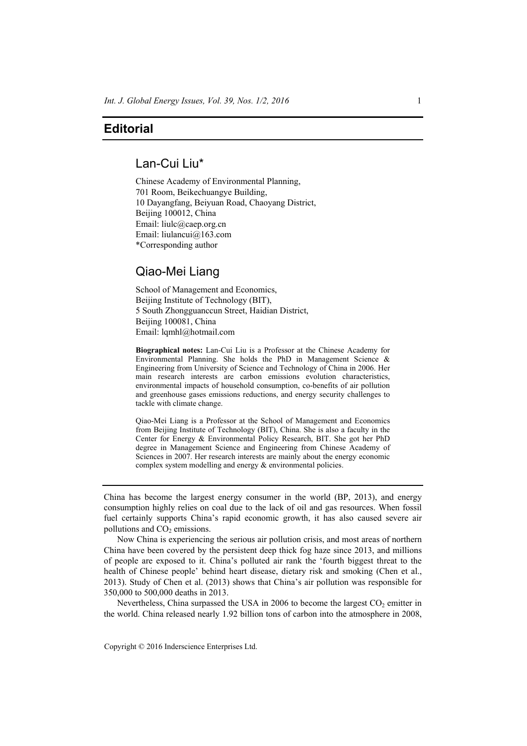# **Editorial**

## Lan-Cui Liu\*

Chinese Academy of Environmental Planning, 701 Room, Beikechuangye Building, 10 Dayangfang, Beiyuan Road, Chaoyang District, Beijing 100012, China Email: liulc@caep.org.cn Email: liulancui@163.com \*Corresponding author

## Qiao-Mei Liang

School of Management and Economics, Beijing Institute of Technology (BIT), 5 South Zhongguanccun Street, Haidian District, Beijing 100081, China Email: lqmhl@hotmail.com

**Biographical notes:** Lan-Cui Liu is a Professor at the Chinese Academy for Environmental Planning. She holds the PhD in Management Science  $\&$ Engineering from University of Science and Technology of China in 2006. Her main research interests are carbon emissions evolution characteristics, environmental impacts of household consumption, co-benefits of air pollution and greenhouse gases emissions reductions, and energy security challenges to tackle with climate change.

Qiao-Mei Liang is a Professor at the School of Management and Economics from Beijing Institute of Technology (BIT), China. She is also a faculty in the Center for Energy & Environmental Policy Research, BIT. She got her PhD degree in Management Science and Engineering from Chinese Academy of Sciences in 2007. Her research interests are mainly about the energy economic complex system modelling and energy & environmental policies.

China has become the largest energy consumer in the world (BP, 2013), and energy consumption highly relies on coal due to the lack of oil and gas resources. When fossil fuel certainly supports China's rapid economic growth, it has also caused severe air pollutions and  $CO<sub>2</sub>$  emissions.

Now China is experiencing the serious air pollution crisis, and most areas of northern China have been covered by the persistent deep thick fog haze since 2013, and millions of people are exposed to it. China's polluted air rank the 'fourth biggest threat to the health of Chinese people' behind heart disease, dietary risk and smoking (Chen et al., 2013). Study of Chen et al. (2013) shows that China's air pollution was responsible for 350,000 to 500,000 deaths in 2013.

Nevertheless, China surpassed the USA in 2006 to become the largest  $CO<sub>2</sub>$  emitter in the world. China released nearly 1.92 billion tons of carbon into the atmosphere in 2008,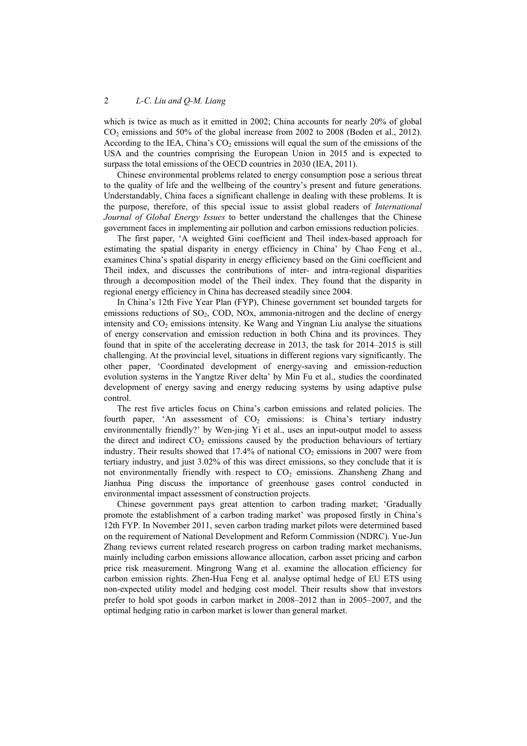### 2 *L-C. Liu and Q-M. Liang*

which is twice as much as it emitted in 2002; China accounts for nearly 20% of global CO2 emissions and 50% of the global increase from 2002 to 2008 (Boden et al., 2012). According to the IEA, China's  $CO<sub>2</sub>$  emissions will equal the sum of the emissions of the USA and the countries comprising the European Union in 2015 and is expected to surpass the total emissions of the OECD countries in 2030 (IEA, 2011).

Chinese environmental problems related to energy consumption pose a serious threat to the quality of life and the wellbeing of the country's present and future generations. Understandably, China faces a significant challenge in dealing with these problems. It is the purpose, therefore, of this special issue to assist global readers of *International Journal of Global Energy Issues* to better understand the challenges that the Chinese government faces in implementing air pollution and carbon emissions reduction policies.

The first paper, 'A weighted Gini coefficient and Theil index-based approach for estimating the spatial disparity in energy efficiency in China' by Chao Feng et al., examines China's spatial disparity in energy efficiency based on the Gini coefficient and Theil index, and discusses the contributions of inter- and intra-regional disparities through a decomposition model of the Theil index. They found that the disparity in regional energy efficiency in China has decreased steadily since 2004.

In China's 12th Five Year Plan (FYP), Chinese government set bounded targets for emissions reductions of  $SO<sub>2</sub>$ ,  $COD$ ,  $NOX$ , ammonia-nitrogen and the decline of energy intensity and  $CO<sub>2</sub>$  emissions intensity. Ke Wang and Yingnan Liu analyse the situations of energy conservation and emission reduction in both China and its provinces. They found that in spite of the accelerating decrease in 2013, the task for 2014–2015 is still challenging. At the provincial level, situations in different regions vary significantly. The other paper, 'Coordinated development of energy-saving and emission-reduction evolution systems in the Yangtze River delta' by Min Fu et al., studies the coordinated development of energy saving and energy reducing systems by using adaptive pulse control.

The rest five articles focus on China's carbon emissions and related policies. The fourth paper, 'An assessment of  $CO<sub>2</sub>$  emissions: is China's tertiary industry environmentally friendly?' by Wen-jing Yi et al., uses an input-output model to assess the direct and indirect  $CO<sub>2</sub>$  emissions caused by the production behaviours of tertiary industry. Their results showed that  $17.4\%$  of national  $CO<sub>2</sub>$  emissions in 2007 were from tertiary industry, and just 3.02% of this was direct emissions, so they conclude that it is not environmentally friendly with respect to  $CO<sub>2</sub>$  emissions. Zhansheng Zhang and Jianhua Ping discuss the importance of greenhouse gases control conducted in environmental impact assessment of construction projects.

Chinese government pays great attention to carbon trading market; 'Gradually promote the establishment of a carbon trading market' was proposed firstly in China's 12th FYP. In November 2011, seven carbon trading market pilots were determined based on the requirement of National Development and Reform Commission (NDRC). Yue-Jun Zhang reviews current related research progress on carbon trading market mechanisms, mainly including carbon emissions allowance allocation, carbon asset pricing and carbon price risk measurement. Mingrong Wang et al. examine the allocation efficiency for carbon emission rights. Zhen-Hua Feng et al. analyse optimal hedge of EU ETS using non-expected utility model and hedging cost model. Their results show that investors prefer to hold spot goods in carbon market in 2008–2012 than in 2005–2007, and the optimal hedging ratio in carbon market is lower than general market.